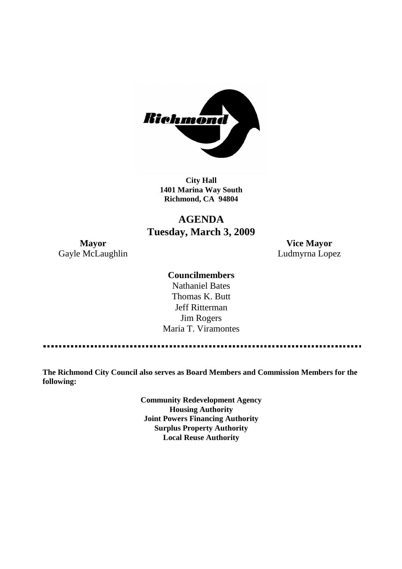

**City Hall 1401 Marina Way South Richmond, CA 94804**

## **AGENDA Tuesday, March 3, 2009**

Gayle McLaughlin **Ludmyrna Lopez** 

**Mayor Vice Mayor**

#### **Councilmembers**

Nathaniel Bates Thomas K. Butt Jeff Ritterman Jim Rogers Maria T. Viramontes

**The Richmond City Council also serves as Board Members and Commission Members for the following:**

> **Community Redevelopment Agency Housing Authority Joint Powers Financing Authority Surplus Property Authority Local Reuse Authority**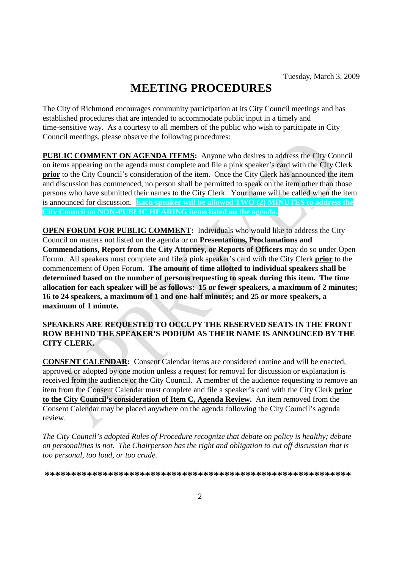# **MEETING PROCEDURES**

The City of Richmond encourages community participation at its City Council meetings and has established procedures that are intended to accommodate public input in a timely and time-sensitive way. As a courtesy to all members of the public who wish to participate in City Council meetings, please observe the following procedures:

**PUBLIC COMMENT ON AGENDA ITEMS:** Anyone who desires to address the City Council on items appearing on the agenda must complete and file a pink speaker's card with the City Clerk **prior** to the City Council's consideration of the item. Once the City Clerk has announced the item and discussion has commenced, no person shall be permitted to speak on the item other than those persons who have submitted their names to the City Clerk. Your name will be called when the item is announced for discussion. **Each speaker will be allowed TWO (2) MINUTES to address the City Council on NON-PUBLIC HEARING items listed on the agenda.**

**OPEN FORUM FOR PUBLIC COMMENT:** Individuals who would like to address the City Council on matters not listed on the agenda or on **Presentations, Proclamations and Commendations, Report from the City Attorney, or Reports of Officers** may do so under Open Forum. All speakers must complete and file a pink speaker's card with the City Clerk **prior** to the commencement of Open Forum. **The amount of time allotted to individual speakers shall be determined based on the number of persons requesting to speak during this item. The time allocation for each speaker will be as follows: 15 or fewer speakers, a maximum of 2 minutes; 16 to 24 speakers, a maximum of 1 and one-half minutes; and 25 or more speakers, a maximum of 1 minute.**

#### **SPEAKERS ARE REQUESTED TO OCCUPY THE RESERVED SEATS IN THE FRONT ROW BEHIND THE SPEAKER'S PODIUM AS THEIR NAME IS ANNOUNCED BY THE CITY CLERK.**

**CONSENT CALENDAR:** Consent Calendar items are considered routine and will be enacted, approved or adopted by one motion unless a request for removal for discussion or explanation is received from the audience or the City Council. A member of the audience requesting to remove an item from the Consent Calendar must complete and file a speaker's card with the City Clerk **prior to the City Council's consideration of Item C, Agenda Review.** An item removed from the Consent Calendar may be placed anywhere on the agenda following the City Council's agenda review.

*The City Council's adopted Rules of Procedure recognize that debate on policy is healthy; debate on personalities is not. The Chairperson has the right and obligation to cut off discussion that is too personal, too loud, or too crude.*

**\*\*\*\*\*\*\*\*\*\*\*\*\*\*\*\*\*\*\*\*\*\*\*\*\*\*\*\*\*\*\*\*\*\*\*\*\*\*\*\*\*\*\*\*\*\*\*\*\*\*\*\*\*\*\*\*\*\***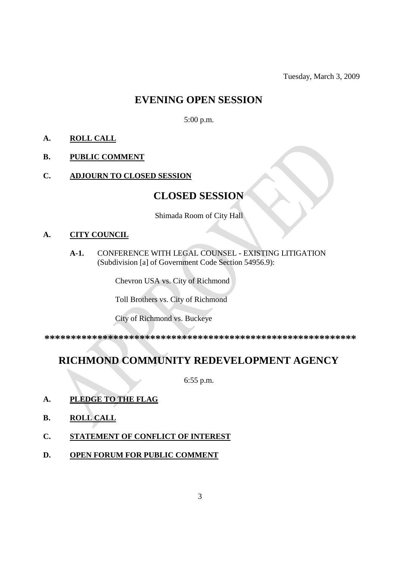Tuesday, March 3, 2009

### **EVENING OPEN SESSION**

5:00 p.m.

- **A. ROLL CALL**
- **B. PUBLIC COMMENT**
- **C. ADJOURN TO CLOSED SESSION**

### **CLOSED SESSION**

Shimada Room of City Hall

#### **A. CITY COUNCIL**

**A-1.** CONFERENCE WITH LEGAL COUNSEL - EXISTING LITIGATION (Subdivision [a] of Government Code Section 54956.9):

Chevron USA vs. City of Richmond

Toll Brothers vs. City of Richmond

City of Richmond vs. Buckeye

**\*\*\*\*\*\*\*\*\*\*\*\*\*\*\*\*\*\*\*\*\*\*\*\*\*\*\*\*\*\*\*\*\*\*\*\*\*\*\*\*\*\*\*\*\*\*\*\*\*\*\*\*\*\*\*\*\*\*\***

## **RICHMOND COMMUNITY REDEVELOPMENT AGENCY**

6:55 p.m.

- **A. PLEDGE TO THE FLAG**
- **B. ROLL CALL**
- **C. STATEMENT OF CONFLICT OF INTEREST**
- **D. OPEN FORUM FOR PUBLIC COMMENT**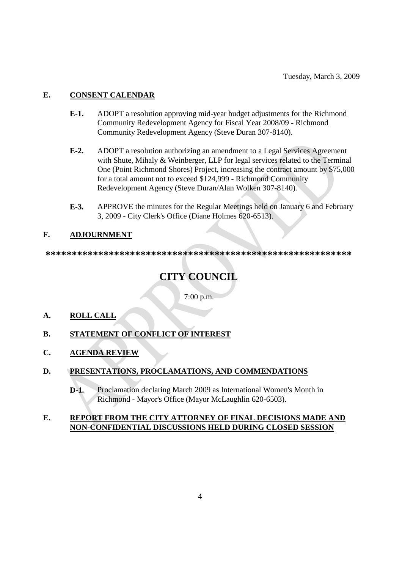#### **E. CONSENT CALENDAR**

- **E-1.** ADOPT a resolution approving mid-year budget adjustments for the Richmond Community Redevelopment Agency for Fiscal Year 2008/09 - Richmond Community Redevelopment Agency (Steve Duran 307-8140).
- **E-2.** ADOPT a resolution authorizing an amendment to a Legal Services Agreement with Shute, Mihaly & Weinberger, LLP for legal services related to the Terminal One (Point Richmond Shores) Project, increasing the contract amount by \$75,000 for a total amount not to exceed \$124,999 - Richmond Community Redevelopment Agency (Steve Duran/Alan Wolken 307-8140).
- **E-3.** APPROVE the minutes for the Regular Meetings held on January 6 and February 3, 2009 - City Clerk's Office (Diane Holmes 620-6513).

#### **F. ADJOURNMENT**

**\*\*\*\*\*\*\*\*\*\*\*\*\*\*\*\*\*\*\*\*\*\*\*\*\*\*\*\*\*\*\*\*\*\*\*\*\*\*\*\*\*\*\*\*\*\*\*\*\*\*\*\*\*\*\*\*\*\***

# **CITY COUNCIL**

7:00 p.m.

- **A. ROLL CALL**
- **B. STATEMENT OF CONFLICT OF INTEREST**
- **C. AGENDA REVIEW**
- **D. PRESENTATIONS, PROCLAMATIONS, AND COMMENDATIONS**
	- **D-1.** Proclamation declaring March 2009 as International Women's Month in Richmond - Mayor's Office (Mayor McLaughlin 620-6503).

#### **E. REPORT FROM THE CITY ATTORNEY OF FINAL DECISIONS MADE AND NON-CONFIDENTIAL DISCUSSIONS HELD DURING CLOSED SESSION**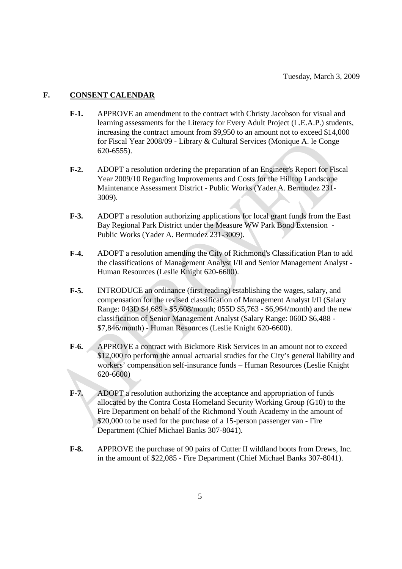#### **F. CONSENT CALENDAR**

- **F-1.** APPROVE an amendment to the contract with Christy Jacobson for visual and learning assessments for the Literacy for Every Adult Project (L.E.A.P.) students, increasing the contract amount from \$9,950 to an amount not to exceed \$14,000 for Fiscal Year 2008/09 - Library & Cultural Services (Monique A. le Conge 620-6555).
- **F-2.** ADOPT a resolution ordering the preparation of an Engineer's Report for Fiscal Year 2009/10 Regarding Improvements and Costs for the Hilltop Landscape Maintenance Assessment District - Public Works (Yader A. Bermudez 231- 3009).
- **F-3.** ADOPT a resolution authorizing applications for local grant funds from the East Bay Regional Park District under the Measure WW Park Bond Extension - Public Works (Yader A. Bermudez 231-3009).
- **F-4.** ADOPT a resolution amending the City of Richmond's Classification Plan to add the classifications of Management Analyst I/II and Senior Management Analyst - Human Resources (Leslie Knight 620-6600).
- **F-5.** INTRODUCE an ordinance (first reading) establishing the wages, salary, and compensation for the revised classification of Management Analyst I/II (Salary Range: 043D \$4,689 - \$5,608/month; 055D \$5,763 - \$6,964/month) and the new classification of Senior Management Analyst (Salary Range: 060D \$6,488 - \$7,846/month) - Human Resources (Leslie Knight 620-6600).
- **F-6.** APPROVE a contract with Bickmore Risk Services in an amount not to exceed \$12,000 to perform the annual actuarial studies for the City's general liability and workers' compensation self-insurance funds – Human Resources (Leslie Knight 620-6600)
- **F-7.** ADOPT a resolution authorizing the acceptance and appropriation of funds allocated by the Contra Costa Homeland Security Working Group (G10) to the Fire Department on behalf of the Richmond Youth Academy in the amount of \$20,000 to be used for the purchase of a 15-person passenger van - Fire Department (Chief Michael Banks 307-8041).
- **F-8.** APPROVE the purchase of 90 pairs of Cutter II wildland boots from Drews, Inc. in the amount of \$22,085 - Fire Department (Chief Michael Banks 307-8041).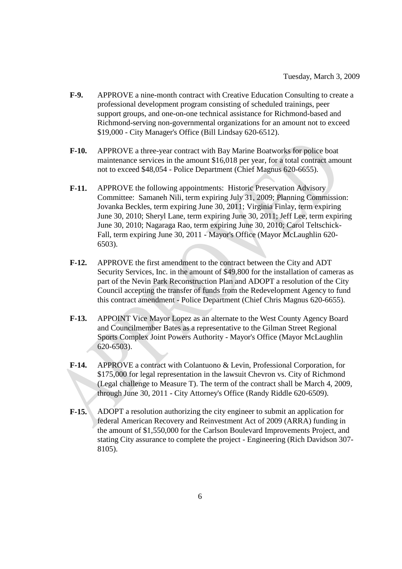- **F-9.** APPROVE a nine-month contract with Creative Education Consulting to create a professional development program consisting of scheduled trainings, peer support groups, and one-on-one technical assistance for Richmond-based and Richmond-serving non-governmental organizations for an amount not to exceed \$19,000 - City Manager's Office (Bill Lindsay 620-6512).
- **F-10.** APPROVE a three-year contract with Bay Marine Boatworks for police boat maintenance services in the amount \$16,018 per year, for a total contract amount not to exceed \$48,054 - Police Department (Chief Magnus 620-6655).
- **F-11.** APPROVE the following appointments: Historic Preservation Advisory Committee: Samaneh Nili, term expiring July 31, 2009; Planning Commission: Jovanka Beckles, term expiring June 30, 2011; Virginia Finlay, term expiring June 30, 2010; Sheryl Lane, term expiring June 30, 2011; Jeff Lee, term expiring June 30, 2010; Nagaraga Rao, term expiring June 30, 2010; Carol Teltschick-Fall, term expiring June 30, 2011 - Mayor's Office (Mayor McLaughlin 620- 6503).
- **F-12.** APPROVE the first amendment to the contract between the City and ADT Security Services, Inc. in the amount of \$49,800 for the installation of cameras as part of the Nevin Park Reconstruction Plan and ADOPT a resolution of the City Council accepting the transfer of funds from the Redevelopment Agency to fund this contract amendment - Police Department (Chief Chris Magnus 620-6655).
- **F-13.** APPOINT Vice Mayor Lopez as an alternate to the West County Agency Board and Councilmember Bates as a representative to the Gilman Street Regional Sports Complex Joint Powers Authority - Mayor's Office (Mayor McLaughlin 620-6503).
- **F-14.** APPROVE a contract with Colantuono & Levin, Professional Corporation, for \$175,000 for legal representation in the lawsuit Chevron vs. City of Richmond (Legal challenge to Measure T). The term of the contract shall be March 4, 2009, through June 30, 2011 - City Attorney's Office (Randy Riddle 620-6509).
- **F-15.** ADOPT a resolution authorizing the city engineer to submit an application for federal American Recovery and Reinvestment Act of 2009 (ARRA) funding in the amount of \$1,550,000 for the Carlson Boulevard Improvements Project, and stating City assurance to complete the project - Engineering (Rich Davidson 307- 8105).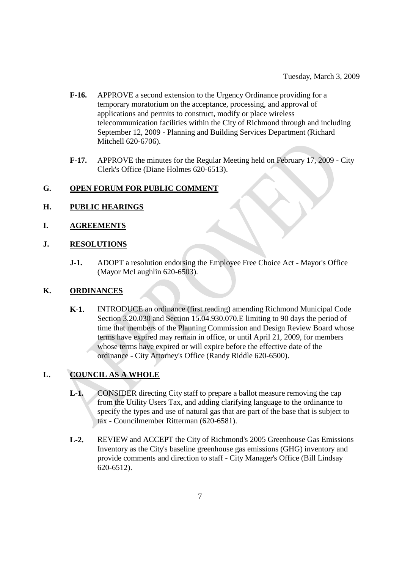- **F-16.** APPROVE a second extension to the Urgency Ordinance providing for a temporary moratorium on the acceptance, processing, and approval of applications and permits to construct, modify or place wireless telecommunication facilities within the City of Richmond through and including September 12, 2009 - Planning and Building Services Department (Richard Mitchell 620-6706).
- **F-17.** APPROVE the minutes for the Regular Meeting held on February 17, 2009 City Clerk's Office (Diane Holmes 620-6513).

#### **G. OPEN FORUM FOR PUBLIC COMMENT**

#### **H. PUBLIC HEARINGS**

#### **I. AGREEMENTS**

#### **J. RESOLUTIONS**

**J-1.** ADOPT a resolution endorsing the Employee Free Choice Act - Mayor's Office (Mayor McLaughlin 620-6503).

#### **K. ORDINANCES**

**K-1.** INTRODUCE an ordinance (first reading) amending Richmond Municipal Code Section 3.20.030 and Section 15.04.930.070.E limiting to 90 days the period of time that members of the Planning Commission and Design Review Board whose terms have expired may remain in office, or until April 21, 2009, for members whose terms have expired or will expire before the effective date of the ordinance - City Attorney's Office (Randy Riddle 620-6500).

#### **L. COUNCIL AS A WHOLE**

- **L-1.** CONSIDER directing City staff to prepare a ballot measure removing the cap from the Utility Users Tax, and adding clarifying language to the ordinance to specify the types and use of natural gas that are part of the base that is subject to tax - Councilmember Ritterman (620-6581).
- **L-2.** REVIEW and ACCEPT the City of Richmond's 2005 Greenhouse Gas Emissions Inventory as the City's baseline greenhouse gas emissions (GHG) inventory and provide comments and direction to staff - City Manager's Office (Bill Lindsay 620-6512).